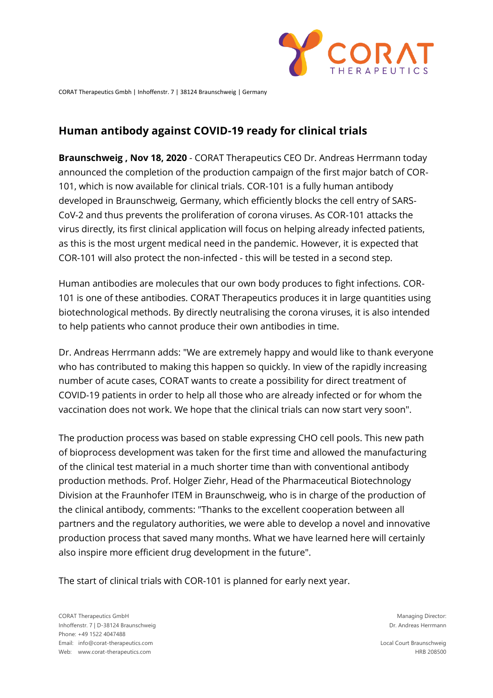

CORAT Therapeutics Gmbh | Inhoffenstr. 7 | 38124 Braunschweig | Germany

## **Human antibody against COVID-19 ready for clinical trials**

**Braunschweig , Nov 18, 2020** - CORAT Therapeutics CEO Dr. Andreas Herrmann today announced the completion of the production campaign of the first major batch of COR-101, which is now available for clinical trials. COR-101 is a fully human antibody developed in Braunschweig, Germany, which efficiently blocks the cell entry of SARS-CoV-2 and thus prevents the proliferation of corona viruses. As COR-101 attacks the virus directly, its first clinical application will focus on helping already infected patients, as this is the most urgent medical need in the pandemic. However, it is expected that COR-101 will also protect the non-infected - this will be tested in a second step.

Human antibodies are molecules that our own body produces to fight infections. COR-101 is one of these antibodies. CORAT Therapeutics produces it in large quantities using biotechnological methods. By directly neutralising the corona viruses, it is also intended to help patients who cannot produce their own antibodies in time.

Dr. Andreas Herrmann adds: "We are extremely happy and would like to thank everyone who has contributed to making this happen so quickly. In view of the rapidly increasing number of acute cases, CORAT wants to create a possibility for direct treatment of COVID-19 patients in order to help all those who are already infected or for whom the vaccination does not work. We hope that the clinical trials can now start very soon".

The production process was based on stable expressing CHO cell pools. This new path of bioprocess development was taken for the first time and allowed the manufacturing of the clinical test material in a much shorter time than with conventional antibody production methods. Prof. Holger Ziehr, Head of the Pharmaceutical Biotechnology Division at the Fraunhofer ITEM in Braunschweig, who is in charge of the production of the clinical antibody, comments: "Thanks to the excellent cooperation between all partners and the regulatory authorities, we were able to develop a novel and innovative production process that saved many months. What we have learned here will certainly also inspire more efficient drug development in the future".

The start of clinical trials with COR-101 is planned for early next year.

Local Court Braunschweig HRB 208500